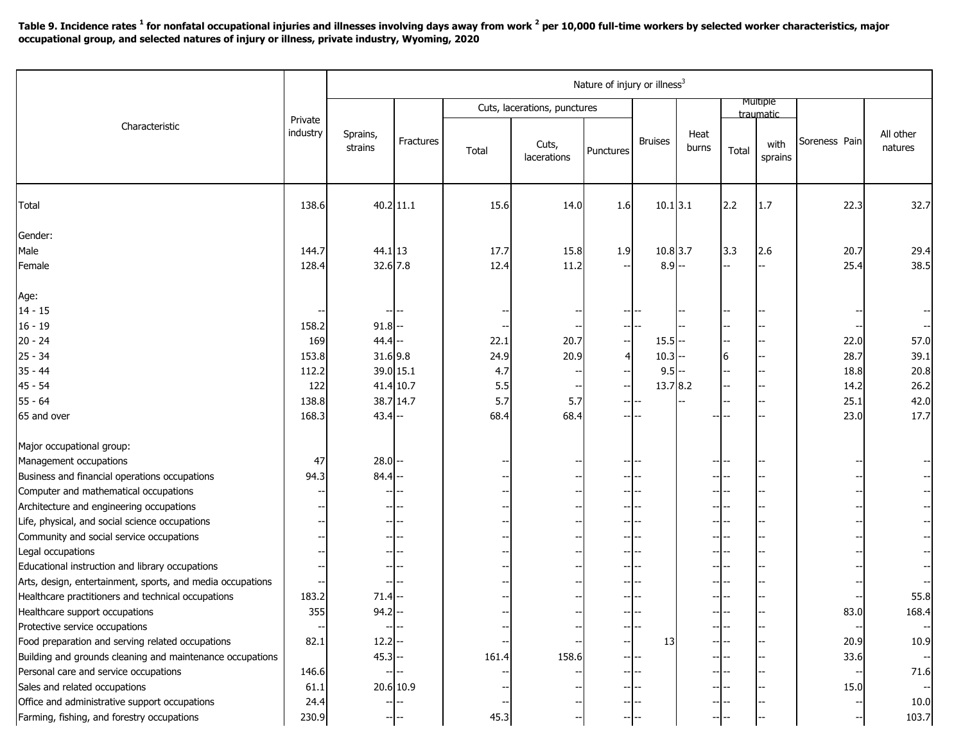Table 9. Incidence rates  $^1$  for nonfatal occupational injuries and illnesses involving days away from work  $^2$  per 10,000 full-time workers by selected worker characteristics, major **occupational group, and selected natures of injury or illness, private industry, Wyoming, 2020**

|                                                            |                     | Nature of injury or illness <sup>3</sup> |             |                              |                      |           |                |               |                              |                 |               |                      |
|------------------------------------------------------------|---------------------|------------------------------------------|-------------|------------------------------|----------------------|-----------|----------------|---------------|------------------------------|-----------------|---------------|----------------------|
| Characteristic                                             | Private<br>industry |                                          |             | Cuts, lacerations, punctures |                      |           |                |               | <b>Multiple</b><br>traumatic |                 |               |                      |
|                                                            |                     | Sprains,<br>strains                      | Fractures   | Total                        | Cuts,<br>lacerations | Punctures | <b>Bruises</b> | Heat<br>burns | Total                        | with<br>sprains | Soreness Pain | All other<br>natures |
| Total                                                      | 138.6               |                                          | $40.2$ 11.1 | 15.6                         | 14.0                 | 1.6       | $10.1$ 3.1     |               | 2.2                          | 1.7             | 22.3          | 32.7                 |
| Gender:                                                    |                     |                                          |             |                              |                      |           |                |               |                              |                 |               |                      |
| Male                                                       | 144.7               | 44.1 13                                  |             | 17.7                         | 15.8                 | 1.9       | 10.8 3.7       |               | 3.3                          | 2.6             | 20.7          | 29.4                 |
| Female                                                     | 128.4               | 32.6 7.8                                 |             | 12.4                         | 11.2                 |           | $8.9 -$        |               |                              |                 | 25.4          | 38.5                 |
| Age:                                                       |                     |                                          |             |                              |                      |           |                |               |                              |                 |               |                      |
| $14 - 15$                                                  |                     |                                          |             |                              |                      |           |                |               |                              |                 |               |                      |
| $16 - 19$                                                  | 158.2               | $91.8$ --                                |             |                              |                      |           |                |               |                              |                 |               |                      |
| $20 - 24$                                                  | 169                 | $44.4$ --                                |             | 22.1                         | 20.7                 |           | $15.5 -$       |               |                              |                 | 22.0          | 57.0                 |
| $25 - 34$                                                  | 153.8               | 31.69.8                                  |             | 24.9                         | 20.9                 |           | $10.3 -$       |               | 6                            |                 | 28.7          | 39.1                 |
| $35 - 44$                                                  | 112.2               |                                          | 39.0 15.1   | 4.7                          |                      |           | $9.5 -$        |               |                              |                 | 18.8          | 20.8                 |
| $45 - 54$                                                  | 122                 |                                          | $41.4$ 10.7 | 5.5                          |                      |           | 13.7 8.2       |               |                              |                 | 14.2          | 26.2                 |
| $55 - 64$                                                  | 138.8               |                                          | 38.7 14.7   | 5.7                          | 5.7                  |           |                |               |                              |                 | 25.1          | 42.0                 |
| 65 and over                                                | 168.3               | $43.4$ --                                |             | 68.4                         | 68.4                 |           |                |               |                              |                 | 23.0          | 17.7                 |
| Major occupational group:                                  |                     |                                          |             |                              |                      |           |                |               |                              |                 |               |                      |
| Management occupations                                     | 47                  | $28.0$ --                                |             |                              |                      |           |                |               |                              |                 |               |                      |
| Business and financial operations occupations              | 94.3                | $84.4$ --                                |             |                              |                      |           |                |               |                              |                 |               |                      |
| Computer and mathematical occupations                      |                     |                                          |             |                              |                      |           |                |               |                              |                 |               |                      |
| Architecture and engineering occupations                   |                     |                                          |             |                              |                      |           |                | --            |                              |                 |               |                      |
| Life, physical, and social science occupations             |                     |                                          |             |                              |                      |           |                |               |                              |                 |               |                      |
| Community and social service occupations                   |                     |                                          |             |                              |                      |           |                |               |                              |                 |               |                      |
| Legal occupations                                          |                     |                                          |             |                              |                      |           |                |               |                              |                 |               |                      |
| Educational instruction and library occupations            |                     |                                          |             |                              |                      |           |                |               |                              |                 |               |                      |
| Arts, design, entertainment, sports, and media occupations |                     |                                          |             |                              |                      |           |                |               |                              |                 |               |                      |
| Healthcare practitioners and technical occupations         | 183.2               | 71.4                                     |             |                              |                      |           |                |               |                              |                 |               | 55.8                 |
| Healthcare support occupations                             | 355                 | 94.2                                     |             |                              |                      |           |                |               | -- --                        |                 | 83.0          | 168.4                |
| Protective service occupations                             |                     |                                          |             |                              |                      |           |                |               |                              |                 |               |                      |
| Food preparation and serving related occupations           | 82.1                | $12.2 -$                                 |             |                              |                      |           | 13             |               |                              |                 | 20.9          | 10.9                 |
| Building and grounds cleaning and maintenance occupations  |                     | $45.3 -$                                 |             | 161.4                        | 158.6                |           |                |               |                              |                 | 33.6          |                      |
| Personal care and service occupations                      | 146.6               |                                          |             |                              |                      |           |                |               |                              |                 |               | 71.6                 |
| Sales and related occupations                              | 61.1                |                                          | 20.6 10.9   |                              |                      |           |                |               |                              |                 | 15.0          |                      |
| Office and administrative support occupations              | 24.4                |                                          |             |                              |                      |           |                |               |                              |                 |               | 10.0                 |
| Farming, fishing, and forestry occupations                 | 230.9               |                                          |             | 45.3                         |                      |           |                |               |                              |                 |               | 103.7                |